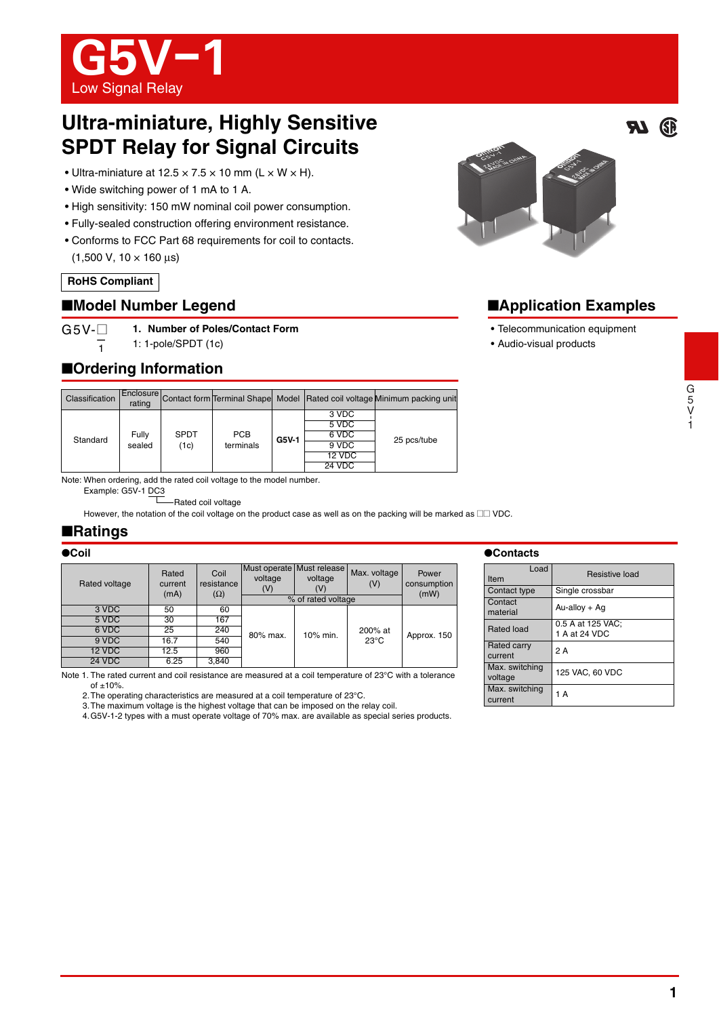

# **Ultra-miniature, Highly Sensitive SPDT Relay for Signal Circuits**

- Ultra-miniature at  $12.5 \times 7.5 \times 10$  mm (L  $\times$  W  $\times$  H).
- Wide switching power of 1 mA to 1 A.
- High sensitivity: 150 mW nominal coil power consumption.
- Fully-sealed construction offering environment resistance.
- Conforms to FCC Part 68 requirements for coil to contacts. (1,500 V, 10 × 160 μs)

### **RoHS Compliant**

## ■**Model Number Legend**

 $G5V-$ **1. Number of Poles/Contact Form**

> —1 1: 1-pole/SPDT (1c)

# ■**Ordering Information**

| Classification | rating          |                     |                         |         |               | Enclosure Contact form Terminal Shape Model Rated coil voltage Minimum packing unit |  |
|----------------|-----------------|---------------------|-------------------------|---------|---------------|-------------------------------------------------------------------------------------|--|
| Standard       | Fully<br>sealed | <b>SPDT</b><br>(1c) | <b>PCB</b><br>terminals | $G5V-1$ | 3 VDC         |                                                                                     |  |
|                |                 |                     |                         |         | 5 VDC         | 25 pcs/tube                                                                         |  |
|                |                 |                     |                         |         | 6 VDC         |                                                                                     |  |
|                |                 |                     |                         |         | 9 VDC         |                                                                                     |  |
|                |                 |                     |                         |         | 12 VDC        |                                                                                     |  |
|                |                 |                     |                         |         | <b>24 VDC</b> |                                                                                     |  |

Note: When ordering, add the rated coil voltage to the model number.

Example: G5V-1 DC3

Rated coil voltage

However, the notation of the coil voltage on the product case as well as on the packing will be marked as  $\Box\Box$  VDC.

## ■**Ratings**

#### ●**Coil**

| Rated voltage | Rated<br>current<br>(mA) | Coil<br>resistance<br>$(\Omega)$ | Must operate Must release<br>voltage<br>(V) | voltage<br>(V)<br>% of rated voltage | Max. voltage<br>(V) | Power<br>consumption<br>(mW) |
|---------------|--------------------------|----------------------------------|---------------------------------------------|--------------------------------------|---------------------|------------------------------|
| 3 VDC         | 50                       | 60                               |                                             |                                      |                     |                              |
| 5 VDC         | 30                       | 167                              |                                             |                                      |                     |                              |
| 6 VDC         | 25                       | 240                              | 80% max.                                    | 10% min.                             | 200% at             | Approx. 150                  |
| 9 VDC         | 16.7                     | 540                              |                                             |                                      | $23^{\circ}$ C      |                              |
| 12 VDC        | 12.5                     | 960                              |                                             |                                      |                     |                              |
| <b>24 VDC</b> | 6.25                     | 3,840                            |                                             |                                      |                     |                              |

Note 1. The rated current and coil resistance are measured at a coil temperature of 23°C with a tolerance

of  $±10%$ .

2.The operating characteristics are measured at a coil temperature of 23°C.

3.The maximum voltage is the highest voltage that can be imposed on the relay coil.

4.G5V-1-2 types with a must operate voltage of 70% max. are available as special series products.

#### ●**Contacts**

| Load<br>Item              | <b>Resistive load</b>              |  |  |
|---------------------------|------------------------------------|--|--|
| Contact type              | Single crossbar                    |  |  |
| Contact<br>material       | $Au$ -alloy + Ag                   |  |  |
| Rated load                | 0.5 A at 125 VAC;<br>1 A at 24 VDC |  |  |
| Rated carry<br>current    | 2 A                                |  |  |
| Max. switching<br>voltage | 125 VAC, 60 VDC                    |  |  |
| Max. switching<br>current | 1 A                                |  |  |



# ■**Application Examples**

- Telecommunication equipment
- Audio-visual products

77

**GP** 

1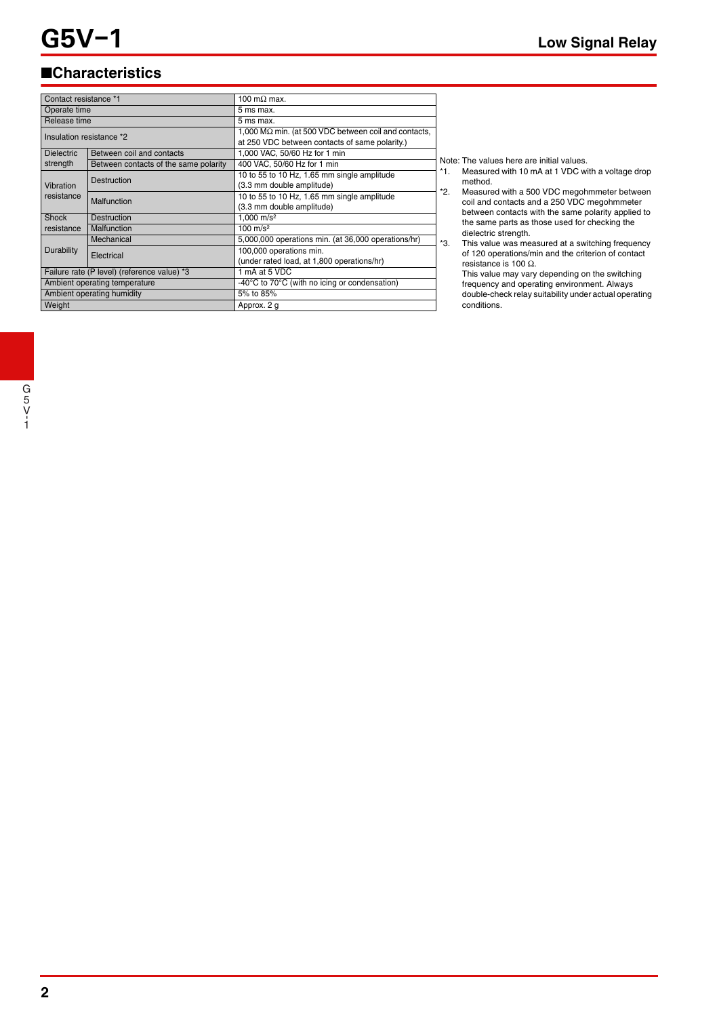# ■**Characteristics**

| Contact resistance *1                       |                                       | 100 m $\Omega$ max.                                          |  |  |
|---------------------------------------------|---------------------------------------|--------------------------------------------------------------|--|--|
| Operate time                                |                                       | 5 ms max.                                                    |  |  |
| Release time                                |                                       | 5 ms max.                                                    |  |  |
| Insulation resistance *2                    |                                       | 1,000 M $\Omega$ min. (at 500 VDC between coil and contacts, |  |  |
|                                             |                                       | at 250 VDC between contacts of same polarity.)               |  |  |
| <b>Dielectric</b>                           | Between coil and contacts             | 1,000 VAC, 50/60 Hz for 1 min                                |  |  |
| strength                                    | Between contacts of the same polarity | 400 VAC, 50/60 Hz for 1 min                                  |  |  |
| Vibration<br>resistance                     | Destruction                           | 10 to 55 to 10 Hz, 1.65 mm single amplitude                  |  |  |
|                                             |                                       | (3.3 mm double amplitude)                                    |  |  |
|                                             | Malfunction                           | 10 to 55 to 10 Hz, 1.65 mm single amplitude                  |  |  |
|                                             |                                       | (3.3 mm double amplitude)                                    |  |  |
| Shock                                       | <b>Destruction</b>                    | 1.000 m/s <sup>2</sup>                                       |  |  |
| resistance<br>Malfunction                   |                                       | $100 \text{ m/s}^2$                                          |  |  |
| Durability                                  | Mechanical                            | 5,000,000 operations min. (at 36,000 operations/hr)          |  |  |
|                                             | Electrical                            | 100,000 operations min.                                      |  |  |
|                                             |                                       | (under rated load, at 1,800 operations/hr)                   |  |  |
| Failure rate (P level) (reference value) *3 |                                       | 1 mA at 5 VDC                                                |  |  |
| Ambient operating temperature               |                                       | -40°C to 70°C (with no icing or condensation)                |  |  |
| Ambient operating humidity                  |                                       | 5% to 85%                                                    |  |  |
| Weight                                      |                                       | Approx. 2 g                                                  |  |  |

Note: The values here are initial values.

- \*1. Measured with 10 mA at 1 VDC with a voltage drop method.
- \*2. Measured with a 500 VDC megohmmeter between coil and contacts and a 250 VDC megohmmeter between contacts with the same polarity applied to the same parts as those used for checking the dielectric strength.
- \*3. This value was measured at a switching frequency of 120 operations/min and the criterion of contact resistance is 100 Ω.
	- This value may vary depending on the switching frequency and operating environment. Always double-check relay suitability under actual operating conditions.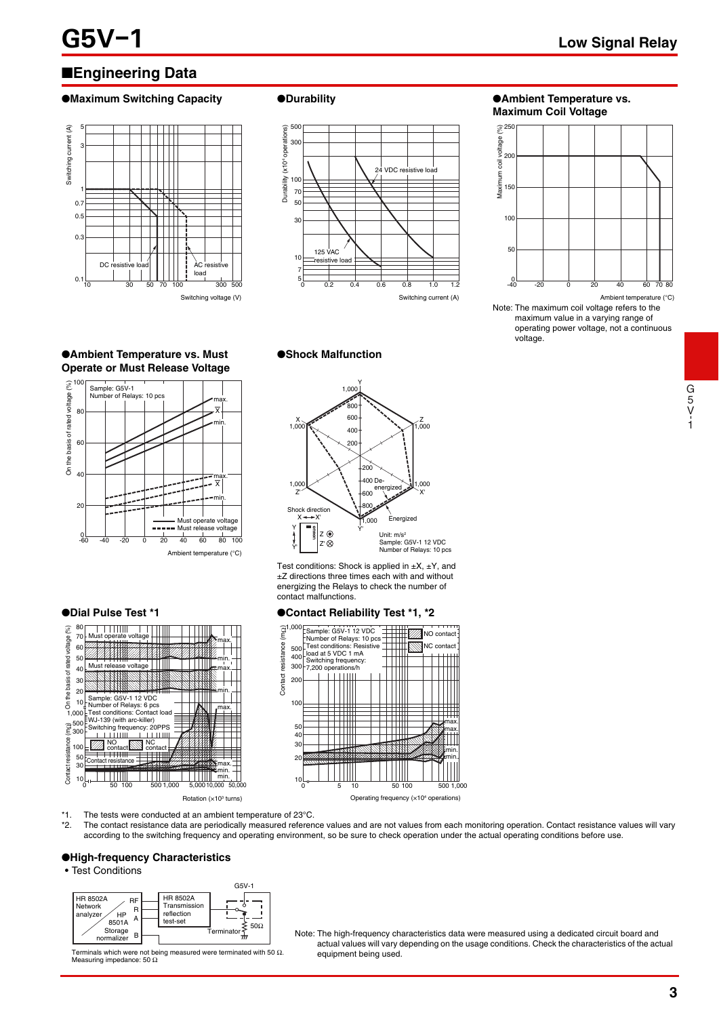# ■**Engineering Data**

#### ●**Maximum Switching Capacity ●Durability ● △**<br>●**Ambient Temperature vs.**





# **Maximum Coil Voltage**



Note: The maximum coil voltage refers to the maximum value in a varying range of operating power voltage, not a continuous voltage. Ambient temperature (°C)

#### ●**Shock Malfunction**

●**Ambient Temperature vs. Must Operate or Must Release Voltage**



Ambient temperature (°C)



#### $\sqrt{000}$ Z' Y'  $\frac{1,000}{1,000}$ X' 200 400 De-600 800 .<br>300 600 400 200 1,000  $000$ 1,000 Shock direction Unit: m/s<sup>2</sup><br>Sample: G5V-1 12 VDC<br>Number of Relays: 10 pcs Y Y'  $\overline{X}$ energized **Energized** ه دا Z'

Y

1,000

Test conditions: Shock is applied in  $\pm X$ ,  $\pm Y$ , and ±Z directions three times each with and without energizing the Relays to check the number of contact malfunctions.



\*1. The tests were conducted at an ambient temperature of 23°C.

The contact resistance data are periodically measured reference values and are not values from each monitoring operation. Contact resistance values will vary according to the switching frequency and operating environment, so be sure to check operation under the actual operating conditions before use.

#### ●**High-frequency Characteristics**

#### • Test Conditions



Terminals which were not being measured were terminated with 50  $\Omega$ . Measuring impedance: 50 Ω

 $B \longrightarrow$  Terminator  $\frac{1}{m}$  Note: The high-frequency characteristics data were measured using a dedicated circuit board and actual values will vary depending on the usage conditions. Check the characteristics of the actual equipment being used.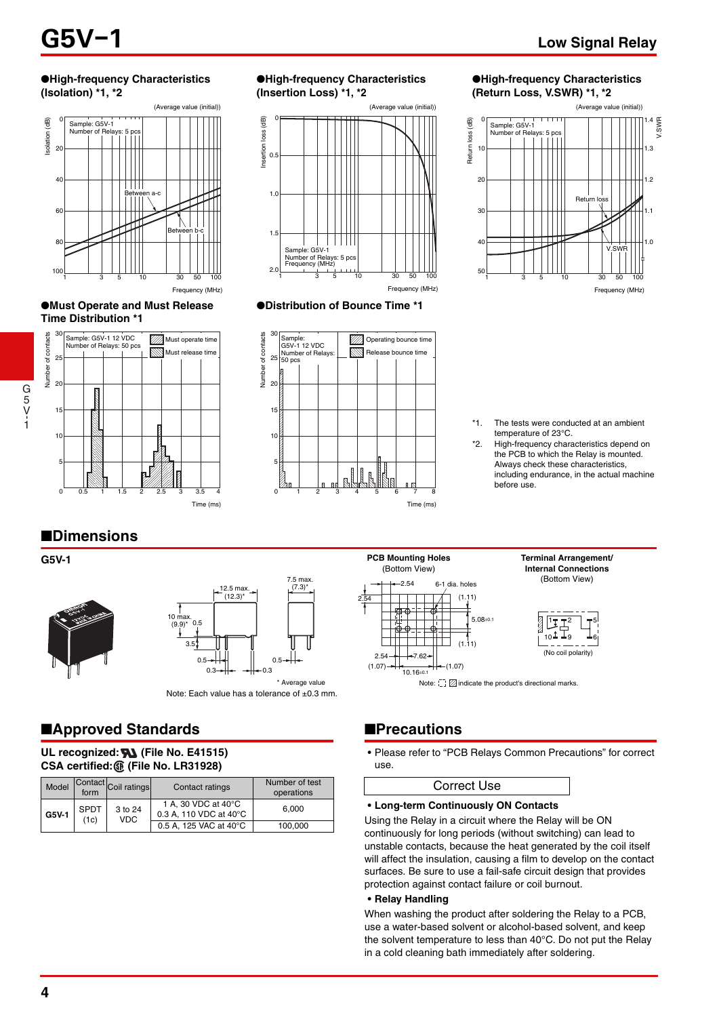#### ●**High-frequency Characteristics (Isolation) \*1, \*2**



#### ●**Must Operate and Must Release Time Distribution \*1**



#### ●**High-frequency Characteristics (Insertion Loss) \*1, \*2**



#### ●**Distribution of Bounce Time \*1**



#### ●**High-frequency Characteristics (Return Loss, V.SWR) \*1, \*2**



\*1. The tests were conducted at an ambient temperature of 23°C.

\*2. High-frequency characteristics depend on the PCB to which the Relay is mounted. Always check these characteristics, including endurance, in the actual machine before use.

> **Terminal Arrangement/ Internal Connections**

# ■**Dimensions**





Note: Each value has a tolerance of ±0.3 mm.

# ■**Approved Standards**

#### UL recognized: **WA** (File No. E41515) **CSA certified: (File No. LR31928)**

| Model | form                | Contact Coil ratings  | Contact ratings                               | Number of test<br>operations |
|-------|---------------------|-----------------------|-----------------------------------------------|------------------------------|
| G5V-1 | <b>SPDT</b><br>(1c) | 3 to 24<br><b>VDC</b> | 1 A, 30 VDC at 40°C<br>0.3 A. 110 VDC at 40°C | 6.000                        |
|       |                     |                       | 0.5 A. 125 VAC at 40°C                        | 100.000                      |

# **G5V-1 PCB Mounting Holes** (Bottom View)



# ■**Precautions**

• Please refer to "PCB Relays Common Precautions" for correct use.

#### Correct Use

#### **• Long-term Continuously ON Contacts**

Using the Relay in a circuit where the Relay will be ON continuously for long periods (without switching) can lead to unstable contacts, because the heat generated by the coil itself will affect the insulation, causing a film to develop on the contact surfaces. Be sure to use a fail-safe circuit design that provides protection against contact failure or coil burnout.

#### **• Relay Handling**

When washing the product after soldering the Relay to a PCB, use a water-based solvent or alcohol-based solvent, and keep the solvent temperature to less than 40°C. Do not put the Relay in a cold cleaning bath immediately after soldering.

G 5 V- 1